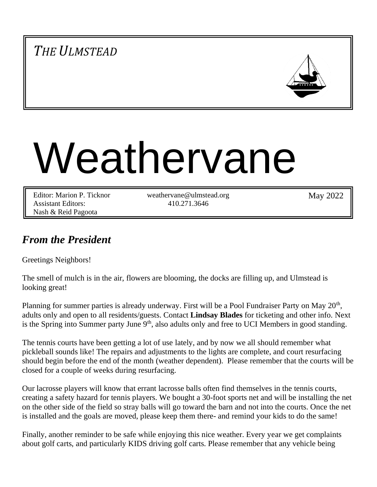# *THE ULMSTEAD*



# Weathervane

| Editor: Marion P. Ticknor | weathervane@ulmstead.org | May 2022 |
|---------------------------|--------------------------|----------|
| <b>Assistant Editors:</b> | 410.271.3646             |          |
| Nash & Reid Pagoota       |                          |          |

## *From the President*

Greetings Neighbors!

The smell of mulch is in the air, flowers are blooming, the docks are filling up, and Ulmstead is looking great!

Planning for summer parties is already underway. First will be a Pool Fundraiser Party on May  $20<sup>th</sup>$ , adults only and open to all residents/guests. Contact **Lindsay Blades** for ticketing and other info. Next is the Spring into Summer party June  $9<sup>th</sup>$ , also adults only and free to UCI Members in good standing.

The tennis courts have been getting a lot of use lately, and by now we all should remember what pickleball sounds like! The repairs and adjustments to the lights are complete, and court resurfacing should begin before the end of the month (weather dependent). Please remember that the courts will be closed for a couple of weeks during resurfacing.

Our lacrosse players will know that errant lacrosse balls often find themselves in the tennis courts, creating a safety hazard for tennis players. We bought a 30-foot sports net and will be installing the net on the other side of the field so stray balls will go toward the barn and not into the courts. Once the net is installed and the goals are moved, please keep them there- and remind your kids to do the same!

Finally, another reminder to be safe while enjoying this nice weather. Every year we get complaints about golf carts, and particularly KIDS driving golf carts. Please remember that any vehicle being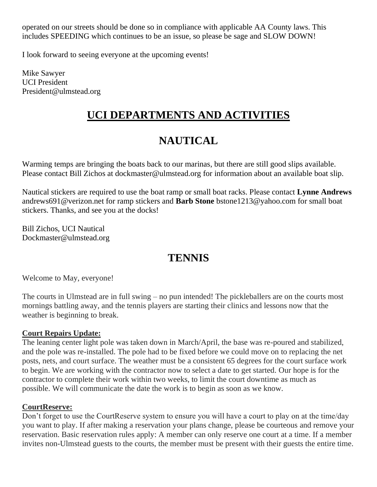operated on our streets should be done so in compliance with applicable AA County laws. This includes SPEEDING which continues to be an issue, so please be sage and SLOW DOWN!

I look forward to seeing everyone at the upcoming events!

Mike Sawyer UCI President President@ulmstead.org

# **UCI DEPARTMENTS AND ACTIVITIES**

# **NAUTICAL**

Warming temps are bringing the boats back to our marinas, but there are still good slips available. Please contact Bill Zichos at dockmaster@ulmstead.org for information about an available boat slip.

Nautical stickers are required to use the boat ramp or small boat racks. Please contact **Lynne Andrews**  andrews691@verizon.net for ramp stickers and **Barb Stone** bstone1213@yahoo.com for small boat stickers. Thanks, and see you at the docks!

Bill Zichos, UCI Nautical Dockmaster@ulmstead.org

## **TENNIS**

Welcome to May, everyone!

The courts in Ulmstead are in full swing – no pun intended! The pickleballers are on the courts most mornings battling away, and the tennis players are starting their clinics and lessons now that the weather is beginning to break.

#### **Court Repairs Update:**

The leaning center light pole was taken down in March/April, the base was re-poured and stabilized, and the pole was re-installed. The pole had to be fixed before we could move on to replacing the net posts, nets, and court surface. The weather must be a consistent 65 degrees for the court surface work to begin. We are working with the contractor now to select a date to get started. Our hope is for the contractor to complete their work within two weeks, to limit the court downtime as much as possible. We will communicate the date the work is to begin as soon as we know.

#### **CourtReserve:**

Don't forget to use the CourtReserve system to ensure you will have a court to play on at the time/day you want to play. If after making a reservation your plans change, please be courteous and remove your reservation. Basic reservation rules apply: A member can only reserve one court at a time. If a member invites non-Ulmstead guests to the courts, the member must be present with their guests the entire time.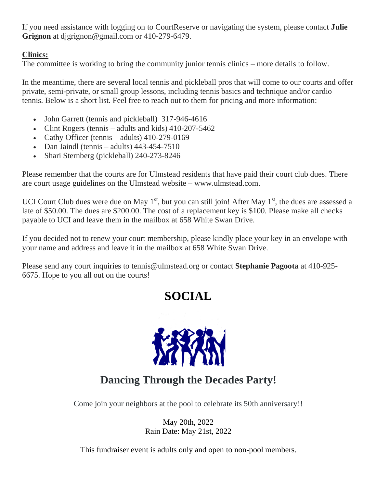If you need assistance with logging on to CourtReserve or navigating the system, please contact **Julie Grignon** at djgrignon@gmail.com or 410-279-6479.

## **Clinics:**

The committee is working to bring the community junior tennis clinics – more details to follow.

In the meantime, there are several local tennis and pickleball pros that will come to our courts and offer private, semi-private, or small group lessons, including tennis basics and technique and/or cardio tennis. Below is a short list. Feel free to reach out to them for pricing and more information:

- John Garrett (tennis and pickleball) 317-946-4616
- Clint Rogers (tennis adults and kids) 410-207-5462
- Cathy Officer (tennis adults) 410-279-0169
- Dan Jaindl (tennis adults)  $443-454-7510$
- Shari Sternberg (pickleball) 240-273-8246

Please remember that the courts are for Ulmstead residents that have paid their court club dues. There are court usage guidelines on the Ulmstead website – www.ulmstead.com.

UCI Court Club dues were due on May  $1<sup>st</sup>$ , but you can still join! After May  $1<sup>st</sup>$ , the dues are assessed a late of \$50.00. The dues are \$200.00. The cost of a replacement key is \$100. Please make all checks payable to UCI and leave them in the mailbox at 658 White Swan Drive.

If you decided not to renew your court membership, please kindly place your key in an envelope with your name and address and leave it in the mailbox at 658 White Swan Drive.

Please send any court inquiries to tennis@ulmstead.org or contact **Stephanie Pagoota** at 410-925- 6675. Hope to you all out on the courts!

# **SOCIAL**



# **Dancing Through the Decades Party!**

Come join your neighbors at the pool to celebrate its 50th anniversary!!

May 20th, 2022 Rain Date: May 21st, 2022

This fundraiser event is adults only and open to non-pool members.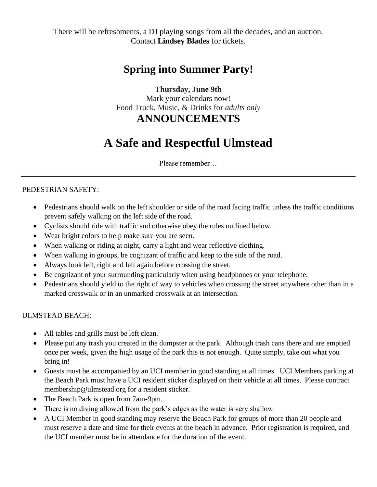There will be refreshments, a DJ playing songs from all the decades, and an auction. Contact **Lindsey Blades** for tickets.

## **Spring into Summer Party!**

## **Thursday, June 9th**

Mark your calendars now! Food Truck, Music, & Drinks for *adults only*

## **ANNOUNCEMENTS**

# **A Safe and Respectful Ulmstead**

Please remember…

### PEDESTRIAN SAFETY:

- Pedestrians should walk on the left shoulder or side of the road facing traffic unless the traffic conditions prevent safely walking on the left side of the road.
- Cyclists should ride with traffic and otherwise obey the rules outlined below.
- Wear bright colors to help make sure you are seen.
- When walking or riding at night, carry a light and wear reflective clothing.
- When walking in groups, be cognizant of traffic and keep to the side of the road.
- Always look left, right and left again before crossing the street.
- Be cognizant of your surrounding particularly when using headphones or your telephone.
- Pedestrians should yield to the right of way to vehicles when crossing the street anywhere other than in a marked crosswalk or in an unmarked crosswalk at an intersection.

#### ULMSTEAD BEACH:

- All tables and grills must be left clean.
- Please put any trash you created in the dumpster at the park. Although trash cans there and are emptied once per week, given the high usage of the park this is not enough. Quite simply, take out what you bring in!
- Guests must be accompanied by an UCI member in good standing at all times. UCI Members parking at the Beach Park must have a UCI resident sticker displayed on their vehicle at all times. Please contract membership@ulmstead.org for a resident sticker.
- The Beach Park is open from 7am-9pm.
- There is no diving allowed from the park's edges as the water is very shallow.
- A UCI Member in good standing may reserve the Beach Park for groups of more than 20 people and must reserve a date and time for their events at the beach in advance. Prior registration is required, and the UCI member must be in attendance for the duration of the event.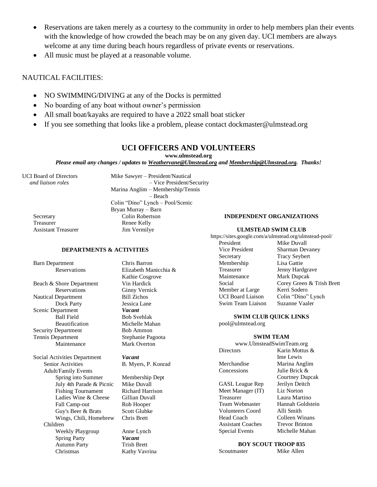- Reservations are taken merely as a courtesy to the community in order to help members plan their events with the knowledge of how crowded the beach may be on any given day. UCI members are always welcome at any time during beach hours regardless of private events or reservations.
- All music must be played at a reasonable volume.

#### NAUTICAL FACILITIES:

- NO SWIMMING/DIVING at any of the Docks is permitted
- No boarding of any boat without owner's permission
- All small boat/kayaks are required to have a 2022 small boat sticker
- If you see something that looks like a problem, please contact dockmaster@ulmstead.org

#### **UCI OFFICERS AND VOLUNTEERS**

#### **www.ulmstead.org**

*Please email any changes / updates to Weathervane@Ulmstead.org and Membership@Ulmstead.org. Thanks!*

Treasurer Renee Kelly<br>
Assistant Treasurer 15 Jim Vermilye Assistant Treasurer

UCI Board of Directors Mike Sawyer – President/Nautical<br>and liaison roles – Vice President/S  *and liaison roles* – Vice President/Security Marina Anglim – Membership/Tennis – Beach Colin "Dino" Lynch – Pool/Scenic Bryan Murray – Barn Secretary Colin Robertson

## **DEPARTMENTS & ACTIVITIES**

Barn Department Chris Barron

Beach & Shore Department Vin Hardick Reservations Ginny Vernick Nautical Department Bill Zichos Dock Party **Jessica Lane** Scenic Department *Vacant* Ball Field Bob Svehlak Beautification Michelle Mahan Security Department Bob Ammon Tennis Department Stephanie Pagoota Maintenance Mark Overton

Social Activities Department *Vacant* Senior Activities B. Myers, P. Konrad Adult/Family Events Spring into Summer Membership Dept July 4th Parade & Picnic Mike Duvall Fishing Tournament Richard Harrison Ladies Wine & Cheese Gillian Duvall Fall Camp-out Rob Hooper Guy's Beer & Brats Scott Glubke Wings, Chili, Homebrew Chris Brett Children Weekly Playgroup Anne Lynch Spring Party *Vacant* Autumn Party Trish Brett Christmas Kathy Vavrina

Reservations Elizabeth Manicchia & Kathie Cosgrove

#### **INDEPENDENT ORGANIZATIONS**

#### **ULMSTEAD SWIM CLUB**

https://sites.google.com/a/ulmstead.org/ulmstead-pool/ President Mike Duvall Vice President Sharman Devaney Secretary Tracy Seybert Membership Lisa Gattie Treasurer Jenny Hardgrave Maintenance Mark Dupcak Social Corey Green & Trish Brett Member at Large Kerri Sodero UCI Board Liaison Colin "Dino" Lynch Swim Team Liaison Suzanne Vaaler

**SWIM CLUB QUICK LINKS** pool@ulmstead.org

#### **SWIM TEAM**

www.UlmsteadSwimTeam.org Directors Karin Mottus & Merchandise Marina Anglim Concessions Julie Brick & GASL League Rep Jerilyn Deitch<br>Meet Manager (IT) Liz Norton

Meet Manager (IT) Treasurer Laura Martino Team Webmaster Hannah Goldstein Volunteers Coord Alli Smith Head Coach Colleen Winans Assistant Coaches Trevor Brinton

Ime Lewis Courtney Dupcak Special Events Michelle Mahan

#### **BOY SCOUT TROOP 835** Scoutmaster Mike Allen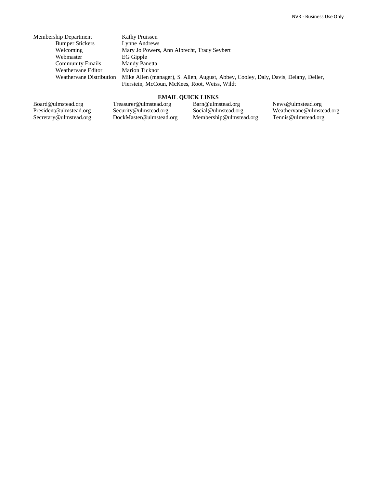| Membership Department    | <b>Kathy Pruissen</b>                                                               |
|--------------------------|-------------------------------------------------------------------------------------|
| <b>Bumper Stickers</b>   | Lynne Andrews                                                                       |
| Welcoming                | Mary Jo Powers, Ann Albrecht, Tracy Seybert                                         |
| Webmaster                | EG Gipple                                                                           |
| <b>Community Emails</b>  | Mandy Panetta                                                                       |
| Weathervane Editor       | <b>Marion Ticknor</b>                                                               |
| Weathervane Distribution | Mike Allen (manager), S. Allen, August, Abbey, Cooley, Daly, Davis, Delany, Deller, |
|                          | Fierstein, McCoun, McKees, Root, Weiss, Wildt                                       |

#### **EMAIL QUICK LINKS**

Board@ulmstead.org President@ulmstead.org Secretary@ulmstead.org Treasurer@ulmstead.org Security@ulmstead.org DockMaster@ulmstead.org Barn@ulmstead.org Social@ulmstead.org Membership@ulmstead.org

News@ulmstead.org Weathervane@ulmstead.org Tennis@ulmstead.org